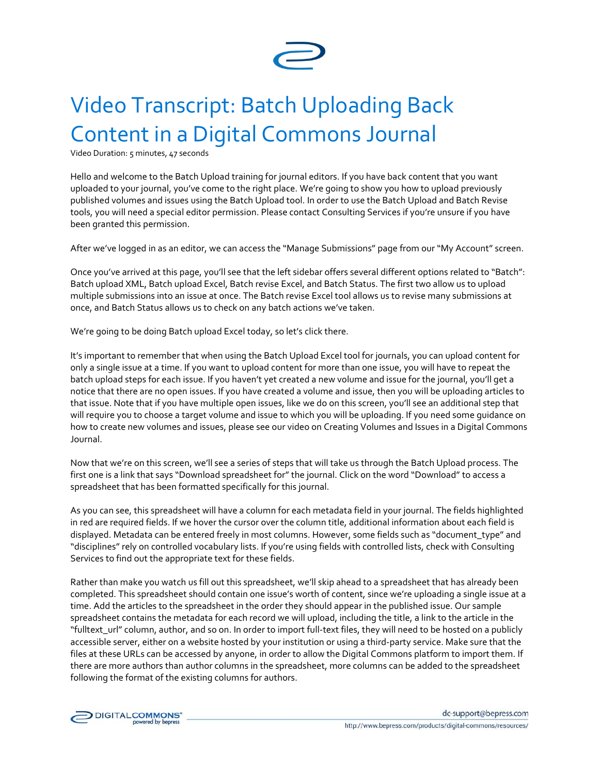

## Video Transcript: Batch Uploading Back Content in a Digital Commons Journal

Video Duration: 5 minutes, 47 seconds

Hello and welcome to the Batch Upload training for journal editors. If you have back content that you want uploaded to your journal, you've come to the right place. We're going to show you how to upload previously published volumes and issues using the Batch Upload tool. In order to use the Batch Upload and Batch Revise tools, you will need a special editor permission. Please contact Consulting Services if you're unsure if you have been granted this permission.

After we've logged in as an editor, we can access the "Manage Submissions" page from our "My Account" screen.

Once you've arrived at this page, you'll see that the left sidebar offers several different options related to "Batch": Batch upload XML, Batch upload Excel, Batch revise Excel, and Batch Status. The first two allow us to upload multiple submissions into an issue at once. The Batch revise Excel tool allows us to revise many submissions at once, and Batch Status allows us to check on any batch actions we've taken.

We're going to be doing Batch upload Excel today, so let's click there.

It's important to remember that when using the Batch Upload Excel tool for journals, you can upload content for only a single issue at a time. If you want to upload content for more than one issue, you will have to repeat the batch upload steps for each issue. If you haven't yet created a new volume and issue for the journal, you'll get a notice that there are no open issues. If you have created a volume and issue, then you will be uploading articles to that issue. Note that if you have multiple open issues, like we do on this screen, you'll see an additional step that will require you to choose a target volume and issue to which you will be uploading. If you need some guidance on how to create new volumes and issues, please see our video on Creating Volumes and Issues in a Digital Commons Journal.

Now that we're on this screen, we'll see a series of steps that will take us through the Batch Upload process. The first one is a link that says "Download spreadsheet for" the journal. Click on the word "Download" to access a spreadsheet that has been formatted specifically for this journal.

As you can see, this spreadsheet will have a column for each metadata field in your journal. The fields highlighted in red are required fields. If we hover the cursor over the column title, additional information about each field is displayed. Metadata can be entered freely in most columns. However, some fields such as "document\_type" and "disciplines" rely on controlled vocabulary lists. If you're using fields with controlled lists, check with Consulting Services to find out the appropriate text for these fields.

Rather than make you watch us fill out this spreadsheet, we'll skip ahead to a spreadsheet that has already been completed. This spreadsheet should contain one issue's worth of content, since we're uploading a single issue at a time. Add the articles to the spreadsheet in the order they should appear in the published issue. Our sample spreadsheet contains the metadata for each record we will upload, including the title, a link to the article in the "fulltext\_url" column, author, and so on. In order to import full-text files, they will need to be hosted on a publicly accessible server, either on a website hosted by your institution or using a third-party service. Make sure that the files at these URLs can be accessed by anyone, in order to allow the Digital Commons platform to import them. If there are more authors than author columns in the spreadsheet, more columns can be added to the spreadsheet following the format of the existing columns for authors.